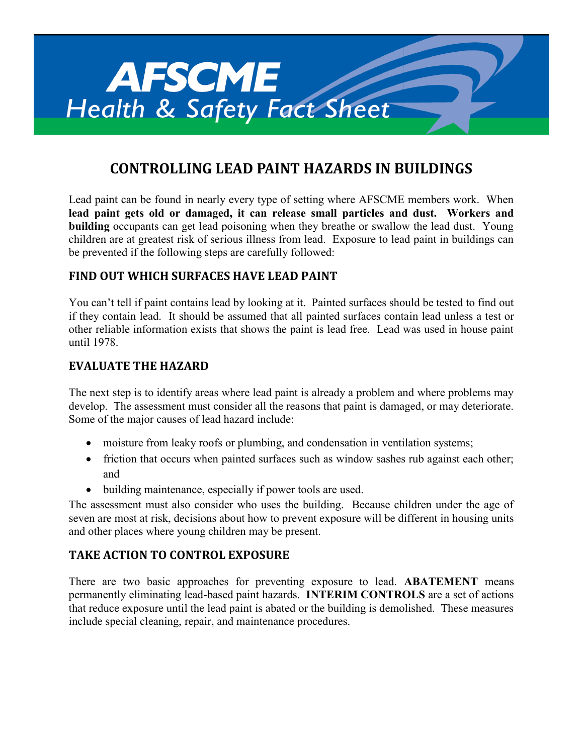

# **CONTROLLING LEAD PAINT HAZARDS IN BUILDINGS**

Lead paint can be found in nearly every type of setting where AFSCME members work. When **lead paint gets old or damaged, it can release small particles and dust. Workers and building** occupants can get lead poisoning when they breathe or swallow the lead dust. Young children are at greatest risk of serious illness from lead. Exposure to lead paint in buildings can be prevented if the following steps are carefully followed:

# **FIND OUT WHICH SURFACES HAVE LEAD PAINT**

You can't tell if paint contains lead by looking at it. Painted surfaces should be tested to find out if they contain lead. It should be assumed that all painted surfaces contain lead unless a test or other reliable information exists that shows the paint is lead free. Lead was used in house paint until 1978.

# **EVALUATE THE HAZARD**

The next step is to identify areas where lead paint is already a problem and where problems may develop. The assessment must consider all the reasons that paint is damaged, or may deteriorate. Some of the major causes of lead hazard include:

- moisture from leaky roofs or plumbing, and condensation in ventilation systems;
- friction that occurs when painted surfaces such as window sashes rub against each other; and
- building maintenance, especially if power tools are used.

The assessment must also consider who uses the building. Because children under the age of seven are most at risk, decisions about how to prevent exposure will be different in housing units and other places where young children may be present.

# **TAKE ACTION TO CONTROL EXPOSURE**

There are two basic approaches for preventing exposure to lead. **ABATEMENT** means permanently eliminating lead-based paint hazards. **INTERIM CONTROLS** are a set of actions that reduce exposure until the lead paint is abated or the building is demolished. These measures include special cleaning, repair, and maintenance procedures.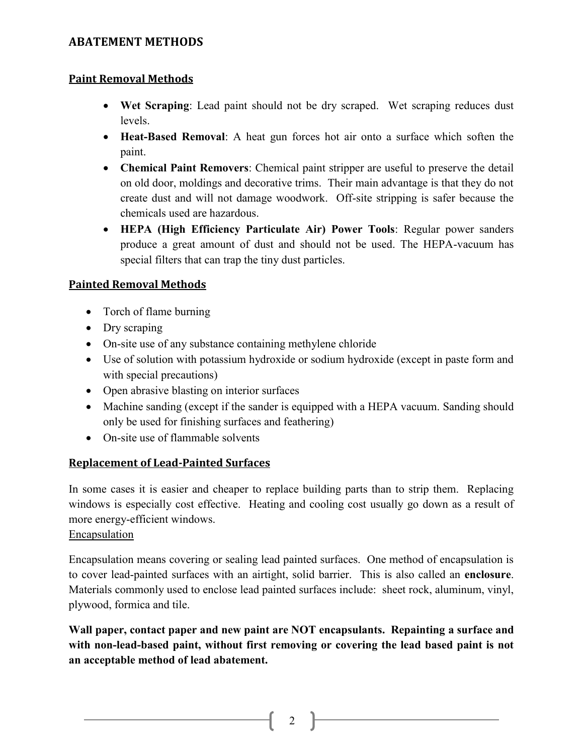# **ABATEMENT METHODS**

## **Paint Removal Methods**

- **Wet Scraping**: Lead paint should not be dry scraped. Wet scraping reduces dust levels.
- **Heat-Based Removal**: A heat gun forces hot air onto a surface which soften the paint.
- **Chemical Paint Removers**: Chemical paint stripper are useful to preserve the detail on old door, moldings and decorative trims. Their main advantage is that they do not create dust and will not damage woodwork. Off-site stripping is safer because the chemicals used are hazardous.
- **HEPA (High Efficiency Particulate Air) Power Tools**: Regular power sanders produce a great amount of dust and should not be used. The HEPA-vacuum has special filters that can trap the tiny dust particles.

## **Painted Removal Methods**

- Torch of flame burning
- Dry scraping
- On-site use of any substance containing methylene chloride
- Use of solution with potassium hydroxide or sodium hydroxide (except in paste form and with special precautions)
- Open abrasive blasting on interior surfaces
- Machine sanding (except if the sander is equipped with a HEPA vacuum. Sanding should only be used for finishing surfaces and feathering)
- On-site use of flammable solvents

#### **Replacement of Lead-Painted Surfaces**

In some cases it is easier and cheaper to replace building parts than to strip them. Replacing windows is especially cost effective. Heating and cooling cost usually go down as a result of more energy-efficient windows.

#### Encapsulation

Encapsulation means covering or sealing lead painted surfaces. One method of encapsulation is to cover lead-painted surfaces with an airtight, solid barrier. This is also called an **enclosure**. Materials commonly used to enclose lead painted surfaces include: sheet rock, aluminum, vinyl, plywood, formica and tile.

**Wall paper, contact paper and new paint are NOT encapsulants. Repainting a surface and with non-lead-based paint, without first removing or covering the lead based paint is not an acceptable method of lead abatement.**

2  $\uparrow$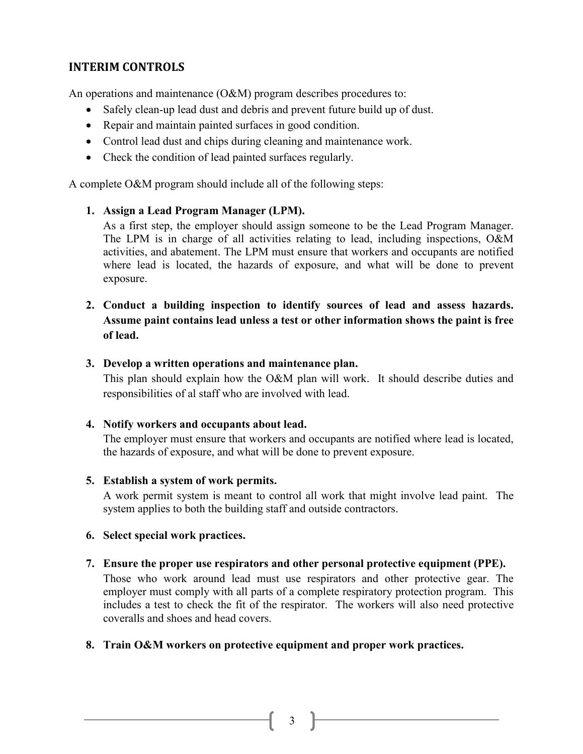# **INTERIM CONTROLS**

An operations and maintenance (O&M) program describes procedures to:

- Safely clean-up lead dust and debris and prevent future build up of dust.
- Repair and maintain painted surfaces in good condition.
- Control lead dust and chips during cleaning and maintenance work.
- Check the condition of lead painted surfaces regularly.

A complete O&M program should include all of the following steps:

## **1. Assign a Lead Program Manager (LPM).**

As a first step, the employer should assign someone to be the Lead Program Manager. The LPM is in charge of all activities relating to lead, including inspections, O&M activities, and abatement. The LPM must ensure that workers and occupants are notified where lead is located, the hazards of exposure, and what will be done to prevent exposure.

# **2. Conduct a building inspection to identify sources of lead and assess hazards. Assume paint contains lead unless a test or other information shows the paint is free of lead.**

## **3. Develop a written operations and maintenance plan.**

This plan should explain how the O&M plan will work. It should describe duties and responsibilities of al staff who are involved with lead.

#### **4. Notify workers and occupants about lead.**

The employer must ensure that workers and occupants are notified where lead is located, the hazards of exposure, and what will be done to prevent exposure.

# **5. Establish a system of work permits.**

A work permit system is meant to control all work that might involve lead paint. The system applies to both the building staff and outside contractors.

#### **6. Select special work practices.**

#### **7. Ensure the proper use respirators and other personal protective equipment (PPE).**

Those who work around lead must use respirators and other protective gear. The employer must comply with all parts of a complete respiratory protection program. This includes a test to check the fit of the respirator. The workers will also need protective coveralls and shoes and head covers.

# **8. Train O&M workers on protective equipment and proper work practices.**

3 P